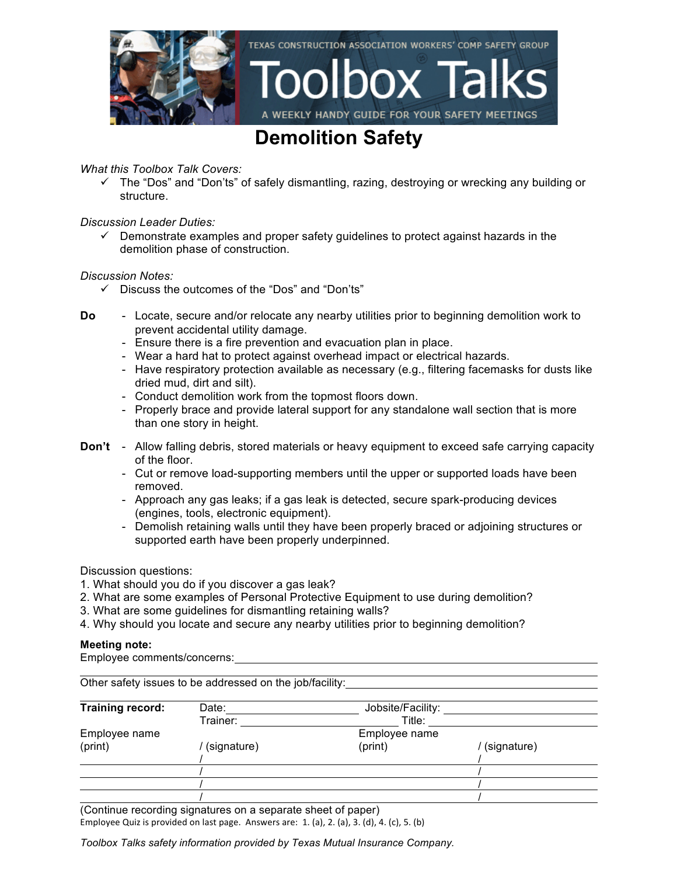

### **Demolition Safety**

### *What this Toolbox Talk Covers:*

 $\checkmark$  The "Dos" and "Don'ts" of safely dismantling, razing, destroying or wrecking any building or structure.

### *Discussion Leader Duties:*

 $\checkmark$  Demonstrate examples and proper safety quidelines to protect against hazards in the demolition phase of construction.

#### *Discussion Notes:*

- $\checkmark$  Discuss the outcomes of the "Dos" and "Don'ts"
- **Do** Locate, secure and/or relocate any nearby utilities prior to beginning demolition work to prevent accidental utility damage.
	- Ensure there is a fire prevention and evacuation plan in place.
	- Wear a hard hat to protect against overhead impact or electrical hazards.
	- Have respiratory protection available as necessary (e.g., filtering facemasks for dusts like dried mud, dirt and silt).
	- Conduct demolition work from the topmost floors down.
	- Properly brace and provide lateral support for any standalone wall section that is more than one story in height.
- **Don't** Allow falling debris, stored materials or heavy equipment to exceed safe carrying capacity of the floor.
	- Cut or remove load-supporting members until the upper or supported loads have been removed.
	- Approach any gas leaks; if a gas leak is detected, secure spark-producing devices (engines, tools, electronic equipment).
	- Demolish retaining walls until they have been properly braced or adjoining structures or supported earth have been properly underpinned.

Discussion questions:

- 1. What should you do if you discover a gas leak?
- 2. What are some examples of Personal Protective Equipment to use during demolition?
- 3. What are some guidelines for dismantling retaining walls?
- 4. Why should you locate and secure any nearby utilities prior to beginning demolition?

#### **Meeting note:**

Employee comments/concerns:

| Other safety issues to be addressed on the job/facility: |             |                   |             |  |
|----------------------------------------------------------|-------------|-------------------|-------------|--|
| Training record:                                         | Date:       | Jobsite/Facility: |             |  |
|                                                          | Trainer:    | Title:            |             |  |
| Employee name                                            |             | Employee name     |             |  |
| (print)                                                  | (signature) | (print)           | (signature) |  |
|                                                          |             |                   |             |  |
|                                                          |             |                   |             |  |
|                                                          |             |                   |             |  |

(Continue recording signatures on a separate sheet of paper)

Employee Quiz is provided on last page. Answers are:  $1.$  (a),  $2.$  (a),  $3.$  (d),  $4.$  (c),  $5.$  (b)

*Toolbox Talks safety information provided by Texas Mutual Insurance Company.*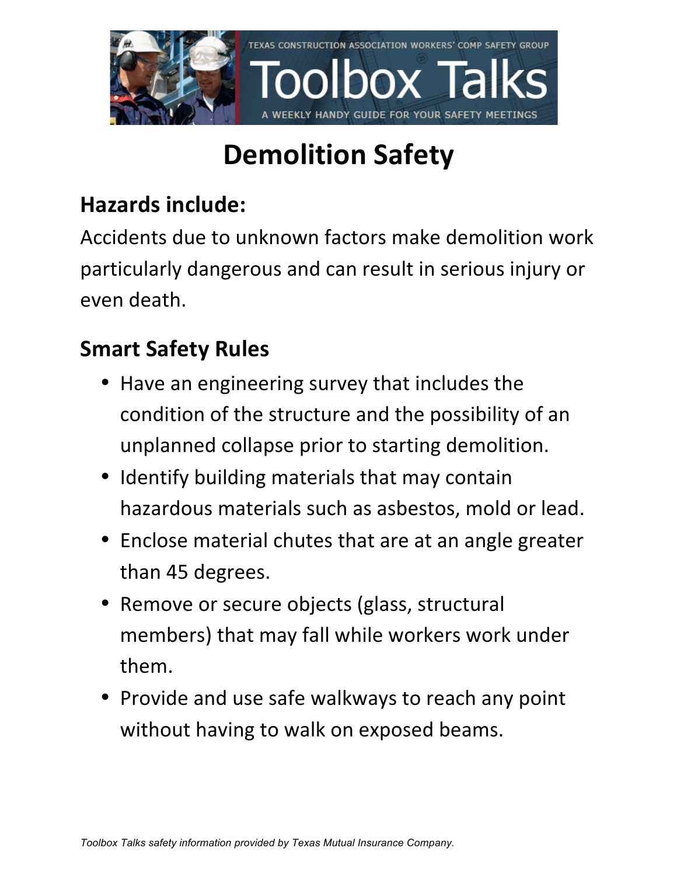

# **Demolition Safety**

### **Hazards include:**

Accidents due to unknown factors make demolition work particularly dangerous and can result in serious injury or even death. 

### **Smart Safety Rules**

- Have an engineering survey that includes the condition of the structure and the possibility of an unplanned collapse prior to starting demolition.
- Identify building materials that may contain hazardous materials such as asbestos, mold or lead.
- Enclose material chutes that are at an angle greater than 45 degrees.
- Remove or secure objects (glass, structural members) that may fall while workers work under them.
- Provide and use safe walkways to reach any point without having to walk on exposed beams.